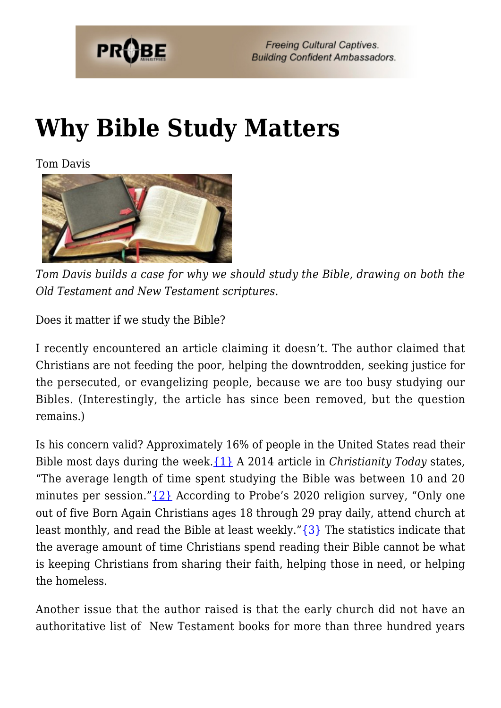

# **[Why Bible Study Matters](https://probe.org/why-bible-study-matters/)**

Tom Davis



*Tom Davis builds a case for why we should study the Bible, drawing on both the Old Testament and New Testament scriptures.*

Does it matter if we study the Bible?

I recently encountered an article claiming it doesn't. The author claimed that Christians are not feeding the poor, helping the downtrodden, seeking justice for the persecuted, or evangelizing people, because we are too busy studying our Bibles. (Interestingly, the article has since been removed, but the question remains.)

Is his concern valid? Approximately 16% of people in the United States read their Bible most days during the week.[{1}](#page-7-0) A 2014 article in *Christianity Today* states, "The average length of time spent studying the Bible was between 10 and 20 minutes per session." $\{2\}$  According to Probe's 2020 religion survey, "Only one out of five Born Again Christians ages 18 through 29 pray daily, attend church at least monthly, and read the Bible at least weekly." $\{3\}$  The statistics indicate that the average amount of time Christians spend reading their Bible cannot be what is keeping Christians from sharing their faith, helping those in need, or helping the homeless.

Another issue that the author raised is that the early church did not have an authoritative list of New Testament books for more than three hundred years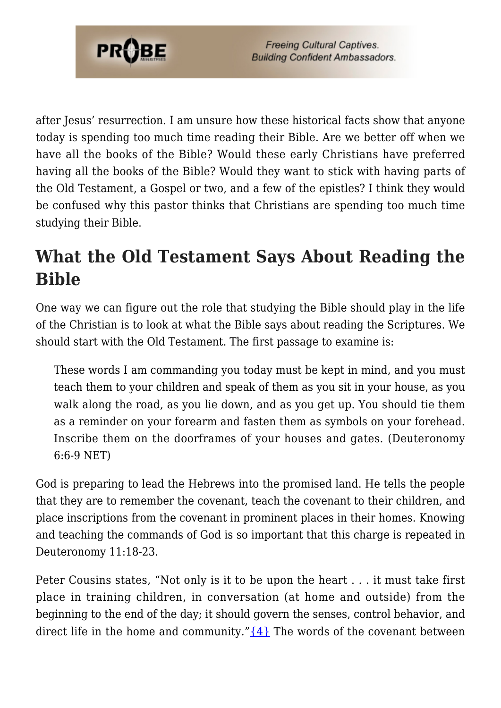

after Jesus' resurrection. I am unsure how these historical facts show that anyone today is spending too much time reading their Bible. Are we better off when we have all the books of the Bible? Would these early Christians have preferred having all the books of the Bible? Would they want to stick with having parts of the Old Testament, a Gospel or two, and a few of the epistles? I think they would be confused why this pastor thinks that Christians are spending too much time studying their Bible.

### **What the Old Testament Says About Reading the Bible**

One way we can figure out the role that studying the Bible should play in the life of the Christian is to look at what the Bible says about reading the Scriptures. We should start with the Old Testament. The first passage to examine is:

These words I am commanding you today must be kept in mind, and you must teach them to your children and speak of them as you sit in your house, as you walk along the road, as you lie down, and as you get up. You should tie them as a reminder on your forearm and fasten them as symbols on your forehead. Inscribe them on the doorframes of your houses and gates. (Deuteronomy 6:6-9 NET)

God is preparing to lead the Hebrews into the promised land. He tells the people that they are to remember the covenant, teach the covenant to their children, and place inscriptions from the covenant in prominent places in their homes. Knowing and teaching the commands of God is so important that this charge is repeated in Deuteronomy 11:18-23.

Peter Cousins states, "Not only is it to be upon the heart . . . it must take first place in training children, in conversation (at home and outside) from the beginning to the end of the day; it should govern the senses, control behavior, and direct life in the home and community." $\{4\}$  The words of the covenant between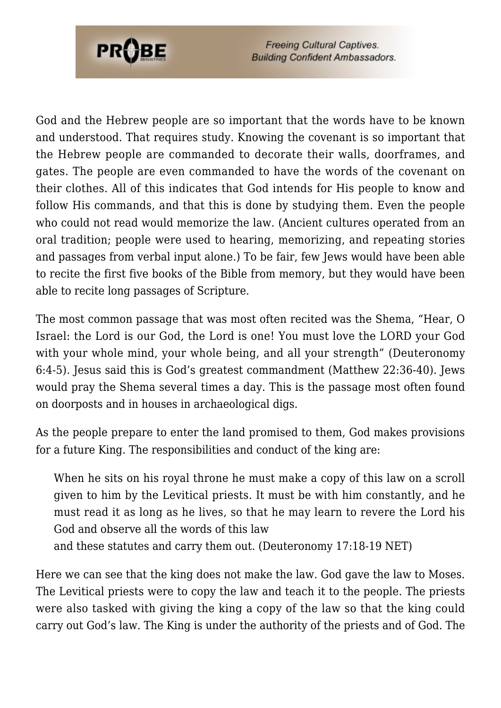

God and the Hebrew people are so important that the words have to be known and understood. That requires study. Knowing the covenant is so important that the Hebrew people are commanded to decorate their walls, doorframes, and gates. The people are even commanded to have the words of the covenant on their clothes. All of this indicates that God intends for His people to know and follow His commands, and that this is done by studying them. Even the people who could not read would memorize the law. (Ancient cultures operated from an oral tradition; people were used to hearing, memorizing, and repeating stories and passages from verbal input alone.) To be fair, few Jews would have been able to recite the first five books of the Bible from memory, but they would have been able to recite long passages of Scripture.

The most common passage that was most often recited was the Shema, "Hear, O Israel: the Lord is our God, the Lord is one! You must love the LORD your God with your whole mind, your whole being, and all your strength" (Deuteronomy 6:4-5). Jesus said this is God's greatest commandment (Matthew 22:36-40). Jews would pray the Shema several times a day. This is the passage most often found on doorposts and in houses in archaeological digs.

As the people prepare to enter the land promised to them, God makes provisions for a future King. The responsibilities and conduct of the king are:

When he sits on his royal throne he must make a copy of this law on a scroll given to him by the Levitical priests. It must be with him constantly, and he must read it as long as he lives, so that he may learn to revere the Lord his God and observe all the words of this law

and these statutes and carry them out. (Deuteronomy 17:18-19 NET)

Here we can see that the king does not make the law. God gave the law to Moses. The Levitical priests were to copy the law and teach it to the people. The priests were also tasked with giving the king a copy of the law so that the king could carry out God's law. The King is under the authority of the priests and of God. The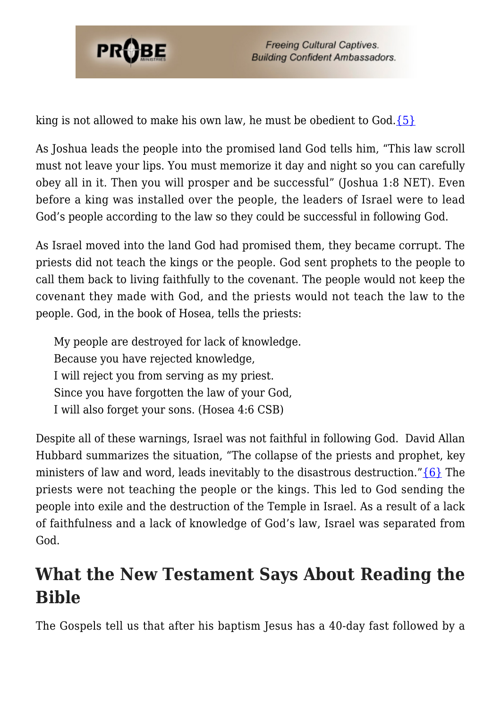

king is not allowed to make his own law, he must be obedient to  $God.\{5\}$ 

As Joshua leads the people into the promised land God tells him, "This law scroll must not leave your lips. You must memorize it day and night so you can carefully obey all in it. Then you will prosper and be successful" (Joshua 1:8 NET). Even before a king was installed over the people, the leaders of Israel were to lead God's people according to the law so they could be successful in following God.

As Israel moved into the land God had promised them, they became corrupt. The priests did not teach the kings or the people. God sent prophets to the people to call them back to living faithfully to the covenant. The people would not keep the covenant they made with God, and the priests would not teach the law to the people. God, in the book of Hosea, tells the priests:

My people are destroyed for lack of knowledge. Because you have rejected knowledge, I will reject you from serving as my priest. Since you have forgotten the law of your God, I will also forget your sons. (Hosea 4:6 CSB)

Despite all of these warnings, Israel was not faithful in following God. David Allan Hubbard summarizes the situation, "The collapse of the priests and prophet, key ministers of law and word, leads inevitably to the disastrous destruction." $\{6\}$  The priests were not teaching the people or the kings. This led to God sending the people into exile and the destruction of the Temple in Israel. As a result of a lack of faithfulness and a lack of knowledge of God's law, Israel was separated from God.

### **What the New Testament Says About Reading the Bible**

The Gospels tell us that after his baptism Jesus has a 40-day fast followed by a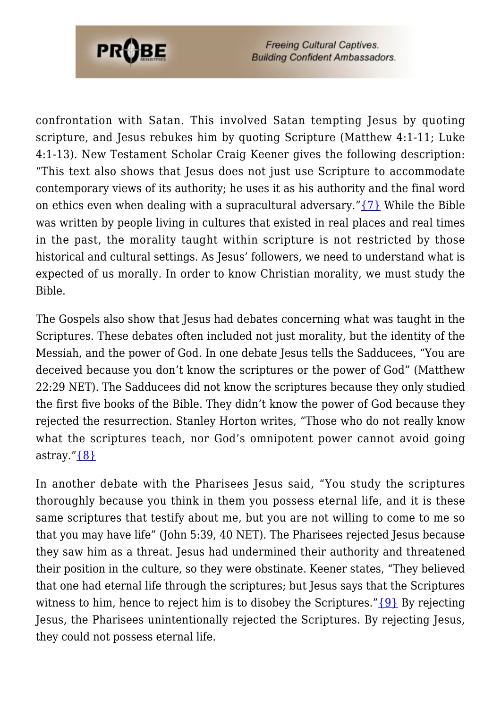

confrontation with Satan. This involved Satan tempting Jesus by quoting scripture, and Jesus rebukes him by quoting Scripture (Matthew 4:1-11; Luke 4:1-13). New Testament Scholar Craig Keener gives the following description: "This text also shows that Jesus does not just use Scripture to accommodate contemporary views of its authority; he uses it as his authority and the final word on ethics even when dealing with a supracultural adversary." $\{7\}$  While the Bible was written by people living in cultures that existed in real places and real times in the past, the morality taught within scripture is not restricted by those historical and cultural settings. As Jesus' followers, we need to understand what is expected of us morally. In order to know Christian morality, we must study the Bible.

The Gospels also show that Jesus had debates concerning what was taught in the Scriptures. These debates often included not just morality, but the identity of the Messiah, and the power of God. In one debate Jesus tells the Sadducees, "You are deceived because you don't know the scriptures or the power of God" (Matthew 22:29 NET). The Sadducees did not know the scriptures because they only studied the first five books of the Bible. They didn't know the power of God because they rejected the resurrection. Stanley Horton writes, "Those who do not really know what the scriptures teach, nor God's omnipotent power cannot avoid going astray." $\{8\}$ 

In another debate with the Pharisees Jesus said, "You study the scriptures thoroughly because you think in them you possess eternal life, and it is these same scriptures that testify about me, but you are not willing to come to me so that you may have life" (John 5:39, 40 NET). The Pharisees rejected Jesus because they saw him as a threat. Jesus had undermined their authority and threatened their position in the culture, so they were obstinate. Keener states, "They believed that one had eternal life through the scriptures; but Jesus says that the Scriptures witness to him, hence to reject him is to disobey the Scriptures." $\{9\}$  By rejecting Jesus, the Pharisees unintentionally rejected the Scriptures. By rejecting Jesus, they could not possess eternal life.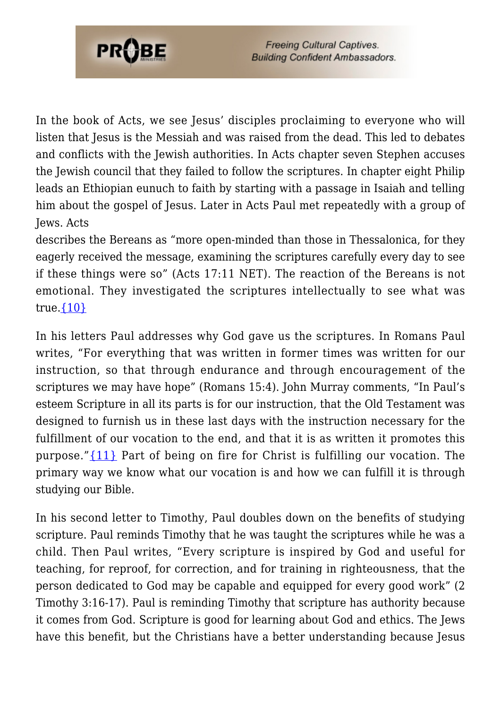

In the book of Acts, we see Jesus' disciples proclaiming to everyone who will listen that Jesus is the Messiah and was raised from the dead. This led to debates and conflicts with the Jewish authorities. In Acts chapter seven Stephen accuses the Jewish council that they failed to follow the scriptures. In chapter eight Philip leads an Ethiopian eunuch to faith by starting with a passage in Isaiah and telling him about the gospel of Jesus. Later in Acts Paul met repeatedly with a group of Jews. Acts

describes the Bereans as "more open-minded than those in Thessalonica, for they eagerly received the message, examining the scriptures carefully every day to see if these things were so" (Acts 17:11 NET). The reaction of the Bereans is not emotional. They investigated the scriptures intellectually to see what was true. $\{10\}$ 

In his letters Paul addresses why God gave us the scriptures. In Romans Paul writes, "For everything that was written in former times was written for our instruction, so that through endurance and through encouragement of the scriptures we may have hope" (Romans 15:4). John Murray comments, "In Paul's esteem Scripture in all its parts is for our instruction, that the Old Testament was designed to furnish us in these last days with the instruction necessary for the fulfillment of our vocation to the end, and that it is as written it promotes this purpose." $\{11\}$  Part of being on fire for Christ is fulfilling our vocation. The primary way we know what our vocation is and how we can fulfill it is through studying our Bible.

In his second letter to Timothy, Paul doubles down on the benefits of studying scripture. Paul reminds Timothy that he was taught the scriptures while he was a child. Then Paul writes, "Every scripture is inspired by God and useful for teaching, for reproof, for correction, and for training in righteousness, that the person dedicated to God may be capable and equipped for every good work" (2 Timothy 3:16-17). Paul is reminding Timothy that scripture has authority because it comes from God. Scripture is good for learning about God and ethics. The Jews have this benefit, but the Christians have a better understanding because Jesus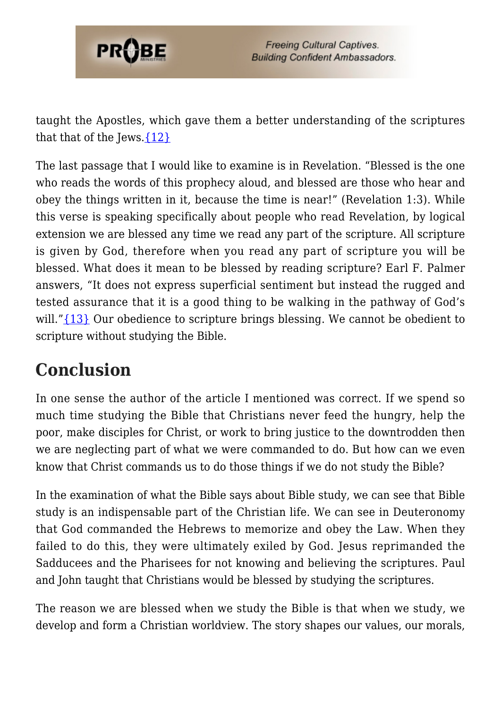

taught the Apostles, which gave them a better understanding of the scriptures that that of the Jews. $\{12\}$ 

The last passage that I would like to examine is in Revelation. "Blessed is the one who reads the words of this prophecy aloud, and blessed are those who hear and obey the things written in it, because the time is near!" (Revelation 1:3). While this verse is speaking specifically about people who read Revelation, by logical extension we are blessed any time we read any part of the scripture. All scripture is given by God, therefore when you read any part of scripture you will be blessed. What does it mean to be blessed by reading scripture? Earl F. Palmer answers, "It does not express superficial sentiment but instead the rugged and tested assurance that it is a good thing to be walking in the pathway of God's will.["{13}](#page-8-7) Our obedience to scripture brings blessing. We cannot be obedient to scripture without studying the Bible.

## **Conclusion**

In one sense the author of the article I mentioned was correct. If we spend so much time studying the Bible that Christians never feed the hungry, help the poor, make disciples for Christ, or work to bring justice to the downtrodden then we are neglecting part of what we were commanded to do. But how can we even know that Christ commands us to do those things if we do not study the Bible?

In the examination of what the Bible says about Bible study, we can see that Bible study is an indispensable part of the Christian life. We can see in Deuteronomy that God commanded the Hebrews to memorize and obey the Law. When they failed to do this, they were ultimately exiled by God. Jesus reprimanded the Sadducees and the Pharisees for not knowing and believing the scriptures. Paul and John taught that Christians would be blessed by studying the scriptures.

The reason we are blessed when we study the Bible is that when we study, we develop and form a Christian worldview. The story shapes our values, our morals,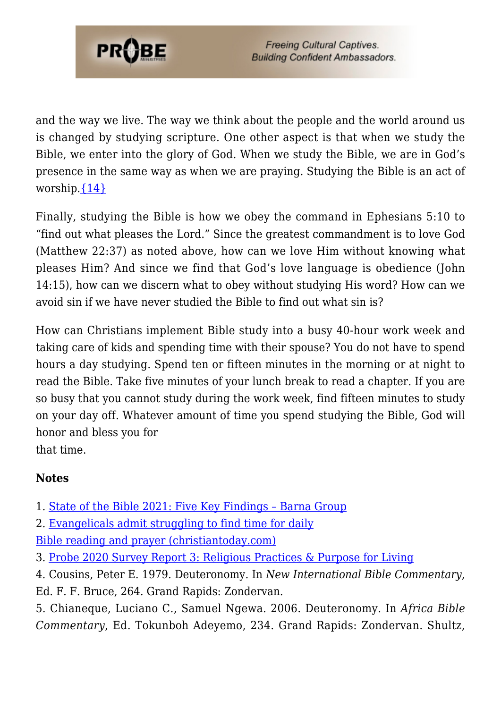

and the way we live. The way we think about the people and the world around us is changed by studying scripture. One other aspect is that when we study the Bible, we enter into the glory of God. When we study the Bible, we are in God's presence in the same way as when we are praying. Studying the Bible is an act of worship. $\{14\}$ 

Finally, studying the Bible is how we obey the command in Ephesians 5:10 to "find out what pleases the Lord." Since the greatest commandment is to love God (Matthew 22:37) as noted above, how can we love Him without knowing what pleases Him? And since we find that God's love language is obedience (John 14:15), how can we discern what to obey without studying His word? How can we avoid sin if we have never studied the Bible to find out what sin is?

How can Christians implement Bible study into a busy 40-hour work week and taking care of kids and spending time with their spouse? You do not have to spend hours a day studying. Spend ten or fifteen minutes in the morning or at night to read the Bible. Take five minutes of your lunch break to read a chapter. If you are so busy that you cannot study during the work week, find fifteen minutes to study on your day off. Whatever amount of time you spend studying the Bible, God will honor and bless you for that time.

#### **Notes**

<span id="page-7-0"></span>1. [State of the Bible 2021: Five Key Findings – Barna Group](https://www.barna.com/research/sotb-2021/)

2. [Evangelicals admit struggling to find time for daily](https://www.christiantoday.com/article/daily-bible-reading-and-prayer-is-a-struggle-for-many-evangelicals/36765.htm) [Bible reading and prayer \(christiantoday.com\)](https://www.christiantoday.com/article/daily-bible-reading-and-prayer-is-a-struggle-for-many-evangelicals/36765.htm)

<span id="page-7-1"></span>3. [Probe 2020 Survey Report 3: Religious Practices & Purpose for Living](https://probe.org/probe-2020-survey-report-3-religious-practices-and-purpose-for-living/)

<span id="page-7-2"></span>4. Cousins, Peter E. 1979. Deuteronomy. In *New International Bible Commentary*, Ed. F. F. Bruce, 264. Grand Rapids: Zondervan.

<span id="page-7-3"></span>5. Chianeque, Luciano C., Samuel Ngewa. 2006. Deuteronomy. In *Africa Bible Commentary*, Ed. Tokunboh Adeyemo, 234. Grand Rapids: Zondervan. Shultz,